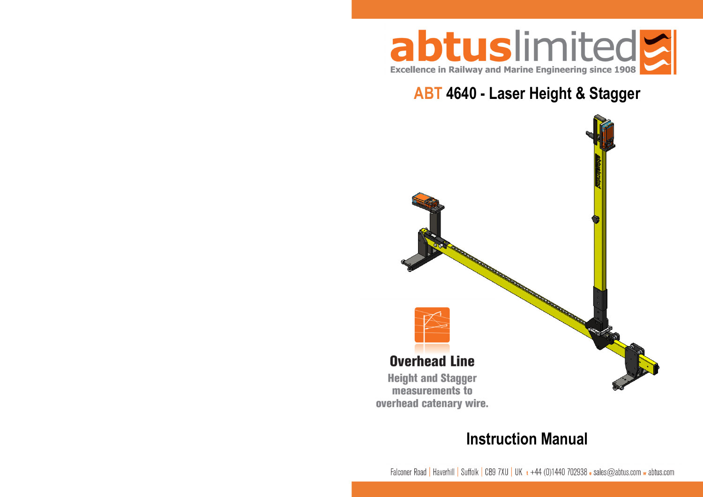

# **ABT 4640 - Laser Height & Stagger**



# **Instruction Manual**

Falconer Road | Haverhill | Suffolk | CB9 7XU | UK  $t +44$  (0)1440 702938  $\epsilon$  sales@abtus.com w abtus.com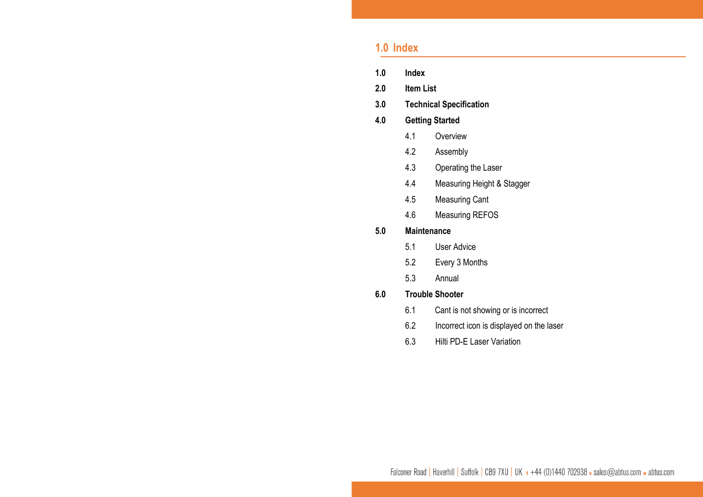## **1.0 Index**

- **1.0Index**
- **2.0Item List**
- **3.0Technical Specification**

#### **4.0Getting Started**

- 4.1**Overview**
- 4.2Assembly
- 4.3Operating the Laser
- 4.4Measuring Height & Stagger
- 4.5Measuring Cant
- 4.6Measuring REFOS

#### **5.0Maintenance**

- 5.1User Advice
- 5.2Every 3 Months
- 5.3Annual

#### **6.0Trouble Shooter**

- 6.1 Cant is not showing or is incorrect
- 6.2 Incorrect icon is displayed on the laser
- 6.3 Hilti PD-E Laser Variation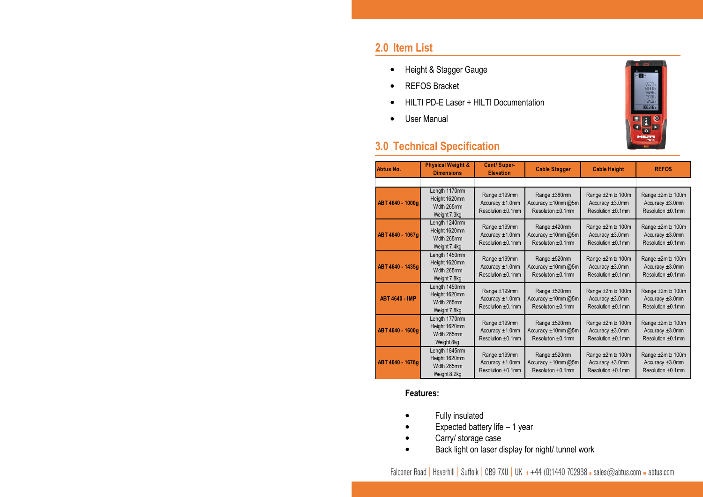## **2.0 Item List**

- •Height & Stagger Gauge
- •REFOS Bracket
- •HILTI PD-E Laser + HILTI Documentation
- •User Manual

# **3.0 Technical Specification**



| Abtus No.             | <b>Physical Weight &amp;</b><br><b>Dimensions</b>             | Cant/Super-<br><b>Elevation</b>                               | <b>Cable Stagger</b>                                      | <b>Cable Height</b>                                                | <b>REFOS</b>                                                    |
|-----------------------|---------------------------------------------------------------|---------------------------------------------------------------|-----------------------------------------------------------|--------------------------------------------------------------------|-----------------------------------------------------------------|
|                       |                                                               |                                                               |                                                           |                                                                    |                                                                 |
| ABT 4640 - 1000g      | Length 1170mm<br>Height 1620mm<br>Width 265mm<br>Weight 7.3kg | Range ±199mm<br>Accuracy $±1.0$ mm<br>Resolution ±0.1mm       | Range ±380mm<br>Accuracy ±10mm@5m<br>Resolution ±0.1mm    | Range ±2m to 100m<br>Accuracy ±3.0mm<br>Resolution ±0.1mm          | Range ±2m to 100m<br>Accuracy $\pm 3.0$ mm<br>Resolution ±0.1mm |
| ABT 4640 - 1067g      | Length 1240mm<br>Height 1620mm<br>Width 265mm<br>Weight 7.4kg | Range ±199mm<br>Accuracy $±1.0$ mm<br>Resolution ±0.1mm       | Range ±420mm<br>Accuracy ±10mm@5m<br>Resolution $±0.1$ mm | Range ±2m to 100m<br>Accuracy $\pm 3.0$ mm<br>Resolution $±0.1$ mm | Range ±2m to 100m<br>Accuracy $\pm 3.0$ mm<br>Resolution ±0.1mm |
| ABT 4640 - 1435g      | Length 1450mm<br>Height 1620mm<br>Width 265mm<br>Weight 7.8kg | Range ±199mm<br>Accuracy ±1.0mm<br>Resolution $\pm 0.1$ mm    | Range ±520mm<br>Accuracy ±10mm@5m<br>Resolution ±0.1mm    | Range ±2m to 100m<br>Accuracy $\pm 3.0$ mm<br>Resolution ±0.1mm    | Range ±2m to 100m<br>Accuracy $\pm 3.0$ mm<br>Resolution ±0.1mm |
| <b>ABT 4640 - IMP</b> | Length 1450mm<br>Height 1620mm<br>Width 265mm<br>Weight 7.8kg | Range ±199mm<br>Accuracy $±1.0$ mm<br>Resolution ±0.1mm       | Range ±520mm<br>Accuracy ±10mm@5m<br>Resolution $±0.1$ mm | Range ±2m to 100m<br>Accuracy $\pm 3.0$ mm<br>Resolution $±0.1$ mm | Range ±2m to 100m<br>Accuracy $\pm 3.0$ mm<br>Resolution ±0.1mm |
| ABT 4640 - 1600g      | Length 1770mm<br>Height 1620mm<br>Width 265mm<br>Weight 8kg   | Range ±199mm<br>Accuracy $±1.0$ mm<br>Resolution $\pm 0.1$ mm | Range ±520mm<br>Accuracy ±10mm@5m<br>Resolution ±0.1mm    | Range ±2m to 100m<br>Accuracy $\pm 3.0$ mm<br>Resolution ±0.1mm    | Range ±2m to 100m<br>Accuracy $\pm 3.0$ mm<br>Resolution ±0.1mm |
| ABT 4640 - 1676g      | Length 1845mm<br>Height 1620mm<br>Width 265mm<br>Weight 8.2kg | Range ±199mm<br>Accuracy $±1.0$ mm<br>Resolution ±0.1mm       | Range ±520mm<br>Accuracy ±10mm@5m<br>Resolution $±0.1$ mm | Range ±2m to 100m<br>Accuracy $\pm 3.0$ mm<br>Resolution $±0.1$ mm | Range ±2m to 100m<br>Accuracy $\pm 3.0$ mm<br>Resolution ±0.1mm |

## **Features:**

- •Fully insulated
- •Expected battery life – 1 year
- •Carry/ storage case
- •Back light on laser display for night/ tunnel work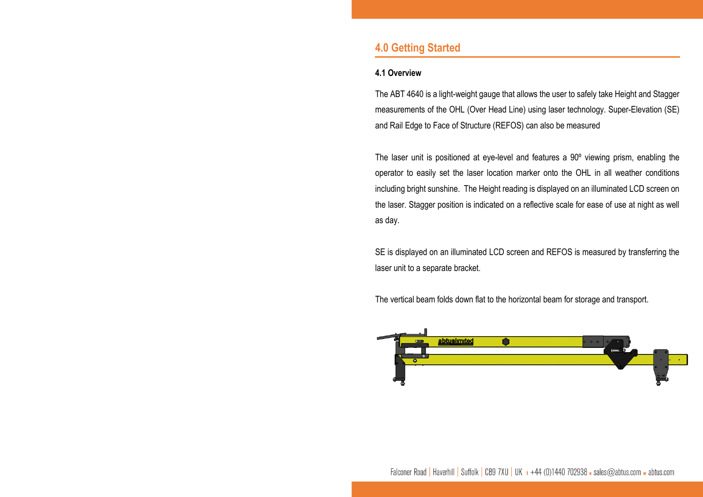## **4.0 Getting Started**

## **4.1 Overview**

The ABT 4640 is a light-weight gauge that allows the user to safely take Height and Stagger measurements of the OHL (Over Head Line) using laser technology. Super-Elevation (SE) and Rail Edge to Face of Structure (REFOS) can also be measured

The laser unit is positioned at eye-level and features a 90º viewing prism, enabling the operator to easily set the laser location marker onto the OHL in all weather conditions including bright sunshine. The Height reading is displayed on an illuminated LCD screen on the laser. Stagger position is indicated on a reflective scale for ease of use at night as well as day.

SE is displayed on an illuminated LCD screen and REFOS is measured by transferring the laser unit to a separate bracket.

The vertical beam folds down flat to the horizontal beam for storage and transport.

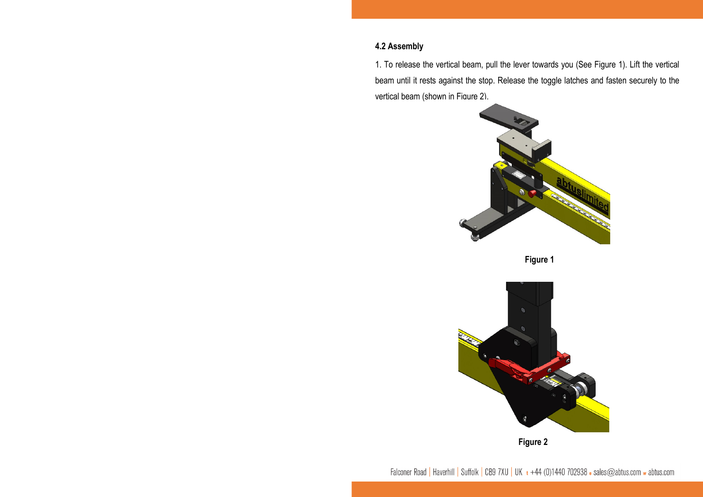## **4.2 Assembly**

1. To release the vertical beam, pull the lever towards you (See Figure 1). Lift the vertical beam until it rests against the stop. Release the toggle latches and fasten securely to the vertical beam (shown in Figure 2).









Falconer Road | Haverhill | Suffolk | CB9 7XU | UK  $t +44$  (0)1440 702938 a sales@abtus.com w abtus.com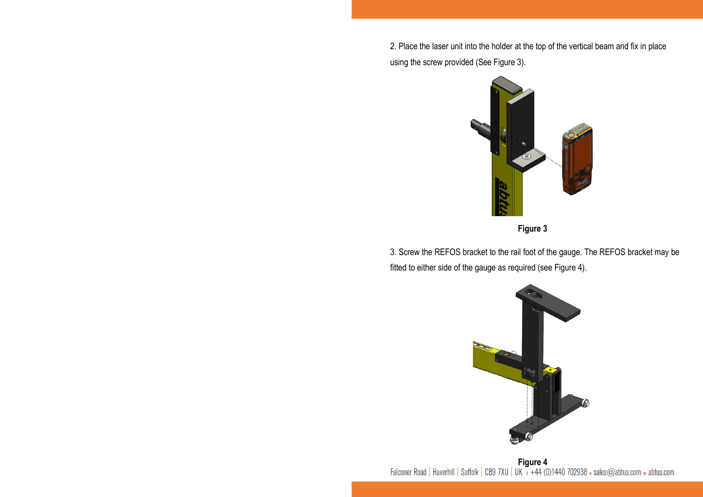2. Place the laser unit into the holder at the top of the vertical beam and fix in place using the screw provided (See Figure 3).



**Figure 3**

3. Screw the REFOS bracket to the rail foot of the gauge. The REFOS bracket may be fitted to either side of the gauge as required (see Figure 4).



**Figure 4**<br>Falconer Road | Haverhill | Suffolk | CB9 7XU | UK + +44 (0)1440 702938 • sales@abtus.com w abtus.com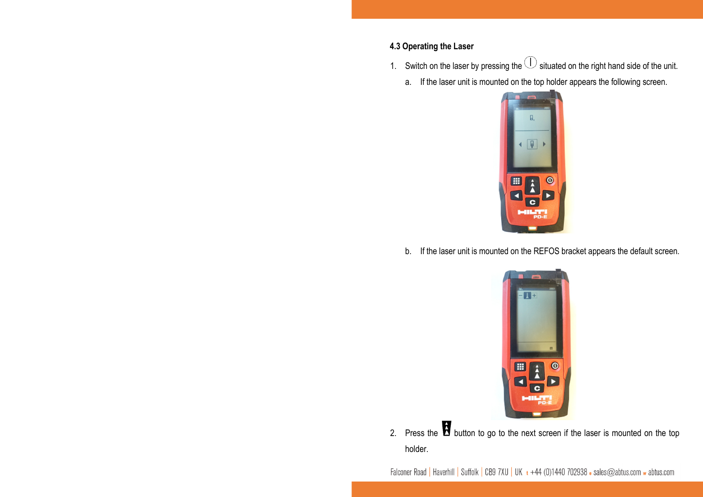## **4.3 Operating the Laser**

- 1. Switch on the laser by pressing the  $\cup$  situated on the right hand side of the unit.
	- a.If the laser unit is mounted on the top holder appears the following screen.



b. If the laser unit is mounted on the REFOS bracket appears the default screen.



2.Press the **button to go to the next screen if the laser is mounted on the top** holder.

Falconer Road | Haverhill | Suffolk | CB9 7XU | UK + +44 (0)1440 702938 · sales@abtus.com w abtus.com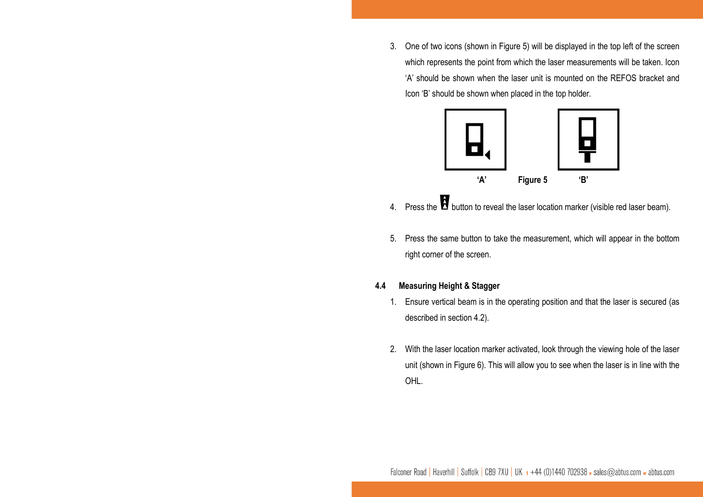3. One of two icons (shown in Figure 5) will be displayed in the top left of the screen which represents the point from which the laser measurements will be taken. Icon 'A' should be shown when the laser unit is mounted on the REFOS bracket and Icon 'B' should be shown when placed in the top holder.



- 4. Press the  $\blacksquare$  button to reveal the laser location marker (visible red laser beam).
- 5. Press the same button to take the measurement, which will appear in the bottom right corner of the screen.

#### **4.4Measuring Height & Stagger**

- 1. Ensure vertical beam is in the operating position and that the laser is secured (as described in section 4.2).
- 2. With the laser location marker activated, look through the viewing hole of the laser unit (shown in Figure 6). This will allow you to see when the laser is in line with the OHL.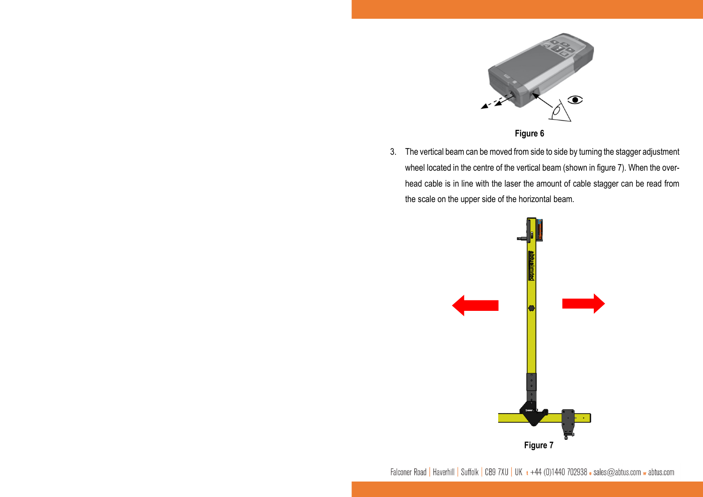

**Figure 6**

3. The vertical beam can be moved from side to side by turning the stagger adjustment wheel located in the centre of the vertical beam (shown in figure 7). When the overhead cable is in line with the laser the amount of cable stagger can be read from the scale on the upper side of the horizontal beam.



Falconer Road | Haverhill | Suffolk | CB9 7XU | UK + +44 (0)1440 702938 · sales@abtus.com w abtus.com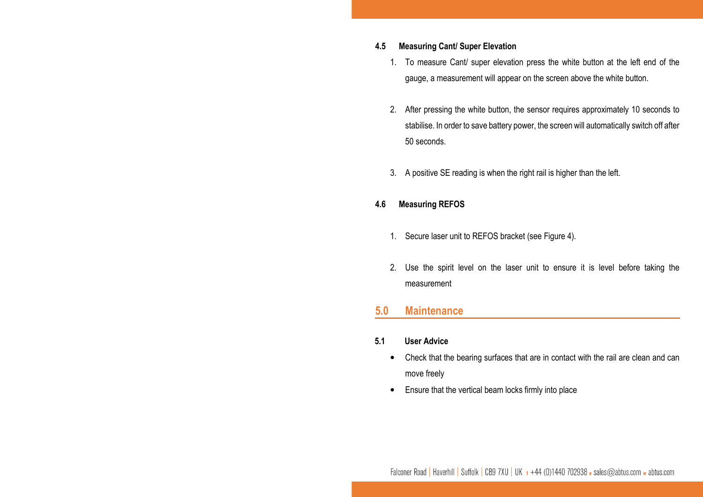#### **4.5Measuring Cant/ Super Elevation**

- 1. To measure Cant/ super elevation press the white button at the left end of the gauge, a measurement will appear on the screen above the white button.
- 2. After pressing the white button, the sensor requires approximately 10 seconds to stabilise. In order to save battery power, the screen will automatically switch off after 50 seconds.
- 3. A positive SE reading is when the right rail is higher than the left.

#### **4.6Measuring REFOS**

- 1. Secure laser unit to REFOS bracket (see Figure 4).
- 2. Use the spirit level on the laser unit to ensure it is level before taking the measurement

#### **5.0Maintenance**

#### **5.1User Advice**

- • Check that the bearing surfaces that are in contact with the rail are clean and can move freely
- •Ensure that the vertical beam locks firmly into place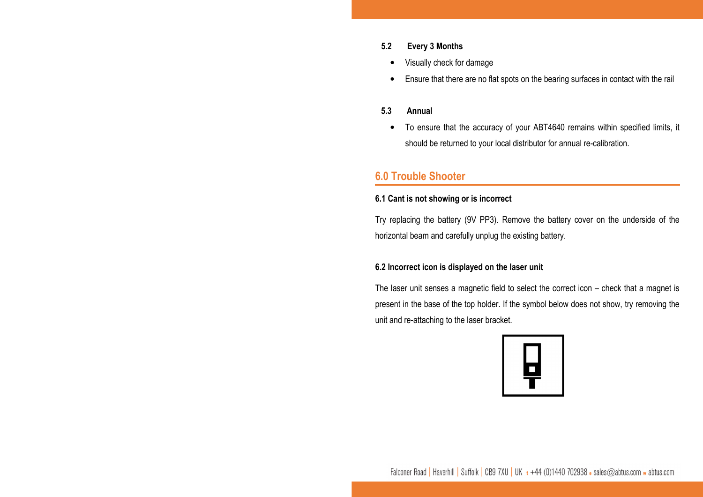## **5.2 Every 3 Months**

- •Visually check for damage
- •Ensure that there are no flat spots on the bearing surfaces in contact with the rail

### **5.3 Annual**

• To ensure that the accuracy of your ABT4640 remains within specified limits, it should be returned to your local distributor for annual re-calibration.

## **6.0 Trouble Shooter**

## **6.1 Cant is not showing or is incorrect**

Try replacing the battery (9V PP3). Remove the battery cover on the underside of the horizontal beam and carefully unplug the existing battery.

## **6.2 Incorrect icon is displayed on the laser unit**

The laser unit senses a magnetic field to select the correct icon – check that a magnet is present in the base of the top holder. If the symbol below does not show, try removing the unit and re-attaching to the laser bracket.



Falconer Road | Haverhill | Suffolk | CB9 7XU | UK  $t +44$  (0)1440 702938  $\cdot$  sales@abtus.com  $\cdot$  abtus.com